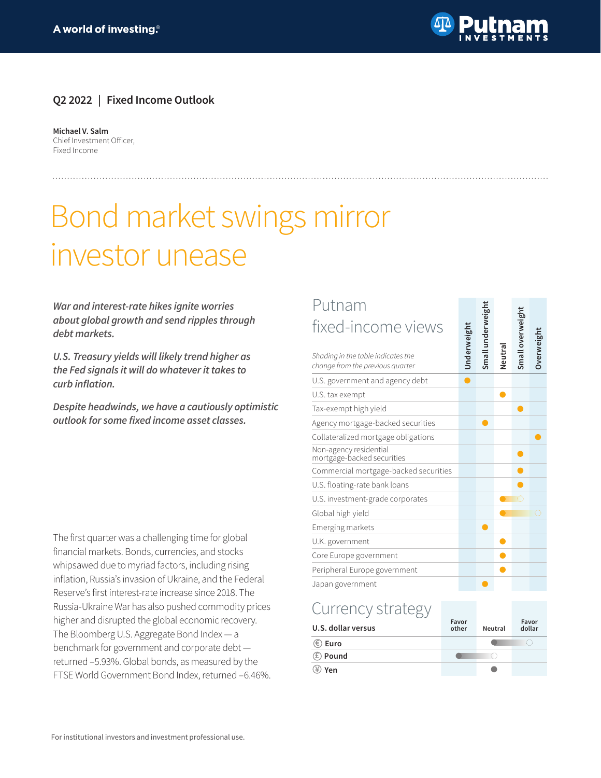

erweight

#### **Q2 2022 | Fixed Income Outlook**

**Michael V. Salm** Chief Investment Officer, Fixed Income

# Bond market swings mirror investor unease

*War and interest-rate hikes ignite worries about global growth and send ripples through debt markets.*

*U.S. Treasury yields will likely trend higher as the Fed signals it will do whatever it takes to*  **curb inflation.**

*Despite headwinds, we have a cautiously optimistic*  **outlook for some fixed income asset classes.**

The first quarter was a challenging time for global financial markets. Bonds, currencies, and stocks whipsawed due to myriad factors, including rising inflation, Russia's invasion of Ukraine, and the Federal Reserve's first interest-rate increase since 2018. The Russia-Ukraine War has also pushed commodity prices higher and disrupted the global economic recovery. The Bloomberg U.S. Aggregate Bond Index — a benchmark for government and corporate debt returned –5.93%. Global bonds, as measured by the FTSE World Government Bond Index, returned –6.46%.

#### Putnam nderweight **Small underweight** eight fixed-income views

| uthanh                                                                 |                    |                 |        |                  |            |
|------------------------------------------------------------------------|--------------------|-----------------|--------|------------------|------------|
| fixed-income views                                                     |                    |                 |        |                  |            |
| Shading in the table indicates the<br>change from the previous quarter | <b>Jnderweight</b> | Small underweig | Neutra | Small overweight | Overweight |
| U.S. government and agency debt                                        |                    |                 |        |                  |            |
| U.S. tax exempt                                                        |                    |                 |        |                  |            |
| Tax-exempt high yield                                                  |                    |                 |        |                  |            |
| Agency mortgage-backed securities                                      |                    |                 |        |                  |            |
| Collateralized mortgage obligations                                    |                    |                 |        |                  |            |
| Non-agency residential<br>mortgage-backed securities                   |                    |                 |        |                  |            |
| Commercial mortgage-backed securities                                  |                    |                 |        |                  |            |
| U.S. floating-rate bank loans                                          |                    |                 |        |                  |            |
| U.S. investment-grade corporates                                       |                    |                 |        | n                |            |
| Global high yield                                                      |                    |                 |        |                  |            |
| Emerging markets                                                       |                    |                 |        |                  |            |
| U.K. government                                                        |                    |                 |        |                  |            |
| Core Europe government                                                 |                    |                 |        |                  |            |
| Peripheral Europe government                                           |                    |                 |        |                  |            |
| Japan government                                                       |                    |                 |        |                  |            |

### Currency strategy

| U.S. dollar versus    | Favor<br>other | Neutral | Favor<br>dollar |
|-----------------------|----------------|---------|-----------------|
| $\circledast$ Euro    |                |         |                 |
| <b><i>E</i></b> Pound |                |         |                 |
| $\circledast$ Yen     |                |         |                 |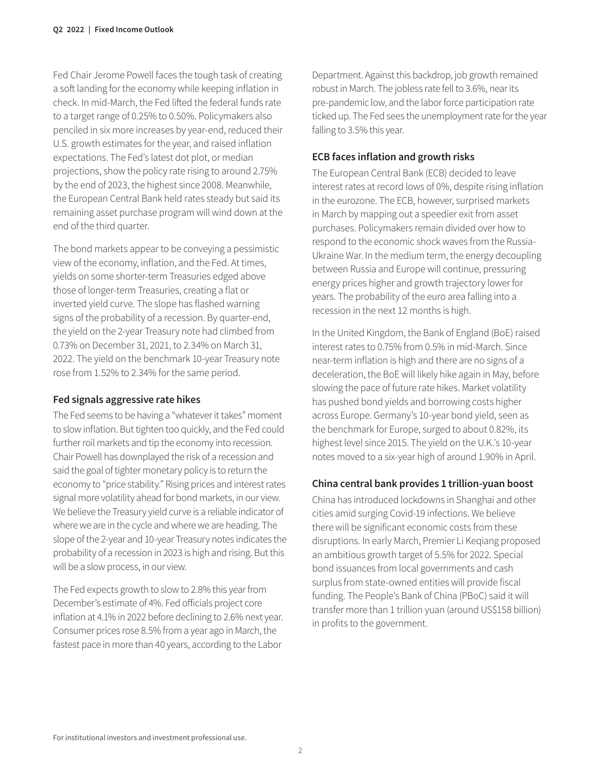Fed Chair Jerome Powell faces the tough task of creating a soft landing for the economy while keeping inflation in check. In mid-March, the Fed lifted the federal funds rate to a target range of 0.25% to 0.50%. Policymakers also penciled in six more increases by year-end, reduced their U.S. growth estimates for the year, and raised inflation expectations. The Fed's latest dot plot, or median projections, show the policy rate rising to around 2.75% by the end of 2023, the highest since 2008. Meanwhile, the European Central Bank held rates steady but said its remaining asset purchase program will wind down at the end of the third quarter.

The bond markets appear to be conveying a pessimistic view of the economy, inflation, and the Fed. At times, yields on some shorter-term Treasuries edged above those of longer-term Treasuries, creating a flat or inverted yield curve. The slope has flashed warning signs of the probability of a recession. By quarter-end, the yield on the 2-year Treasury note had climbed from 0.73% on December 31, 2021, to 2.34% on March 31, 2022. The yield on the benchmark 10-year Treasury note rose from 1.52% to 2.34% for the same period.

#### **Fed signals aggressive rate hikes**

The Fed seems to be having a "whatever it takes" moment to slow inflation. But tighten too quickly, and the Fed could further roil markets and tip the economy into recession. Chair Powell has downplayed the risk of a recession and said the goal of tighter monetary policy is to return the economy to "price stability." Rising prices and interest rates signal more volatility ahead for bond markets, in our view. We believe the Treasury yield curve is a reliable indicator of where we are in the cycle and where we are heading. The slope of the 2-year and 10-year Treasury notes indicates the probability of a recession in 2023 is high and rising. But this will be a slow process, in our view.

The Fed expects growth to slow to 2.8% this year from December's estimate of 4%. Fed officials project core inflation at 4.1% in 2022 before declining to 2.6% next year. Consumer prices rose 8.5% from a year ago in March, the fastest pace in more than 40 years, according to the Labor

Department. Against this backdrop, job growth remained robust in March. The jobless rate fell to 3.6%, near its pre-pandemic low, and the labor force participation rate ticked up. The Fed sees the unemployment rate for the year falling to 3.5% this year.

#### **ECB faces inflation and growth risks**

The European Central Bank (ECB) decided to leave interest rates at record lows of 0%, despite rising inflation in the eurozone. The ECB, however, surprised markets in March by mapping out a speedier exit from asset purchases. Policymakers remain divided over how to respond to the economic shock waves from the Russia-Ukraine War. In the medium term, the energy decoupling between Russia and Europe will continue, pressuring energy prices higher and growth trajectory lower for years. The probability of the euro area falling into a recession in the next 12 months is high.

In the United Kingdom, the Bank of England (BoE) raised interest rates to 0.75% from 0.5% in mid-March. Since near-term inflation is high and there are no signs of a deceleration, the BoE will likely hike again in May, before slowing the pace of future rate hikes. Market volatility has pushed bond yields and borrowing costs higher across Europe. Germany's 10-year bond yield, seen as the benchmark for Europe, surged to about 0.82%, its highest level since 2015. The yield on the U.K.'s 10-year notes moved to a six-year high of around 1.90% in April.

#### **China central bank provides 1 trillion-yuan boost**

China has introduced lockdowns in Shanghai and other cities amid surging Covid-19 infections. We believe there will be significant economic costs from these disruptions. In early March, Premier Li Keqiang proposed an ambitious growth target of 5.5% for 2022. Special bond issuances from local governments and cash surplus from state-owned entities will provide fiscal funding. The People's Bank of China (PBoC) said it will transfer more than 1 trillion yuan (around US\$158 billion) in profits to the government.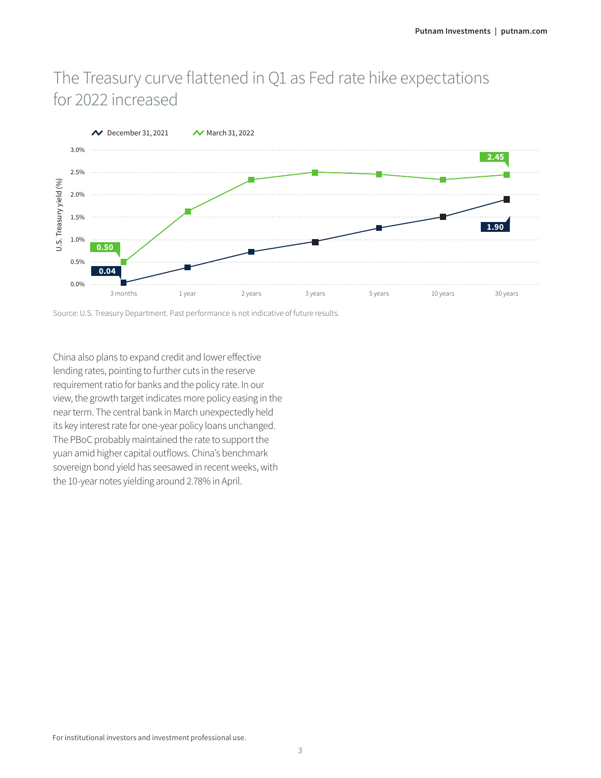# The Treasury curve flattened in Q1 as Fed rate hike expectations for 2022 increased



Source: U.S. Treasury Department. Past performance is not indicative of future results.

China also plans to expand credit and lower effective lending rates, pointing to further cuts in the reserve requirement ratio for banks and the policy rate. In our view, the growth target indicates more policy easing in the near term. The central bank in March unexpectedly held its key interest rate for one-year policy loans unchanged. The PBoC probably maintained the rate to support the yuan amid higher capital outflows. China's benchmark sovereign bond yield has seesawed in recent weeks, with the 10-year notes yielding around 2.78% in April.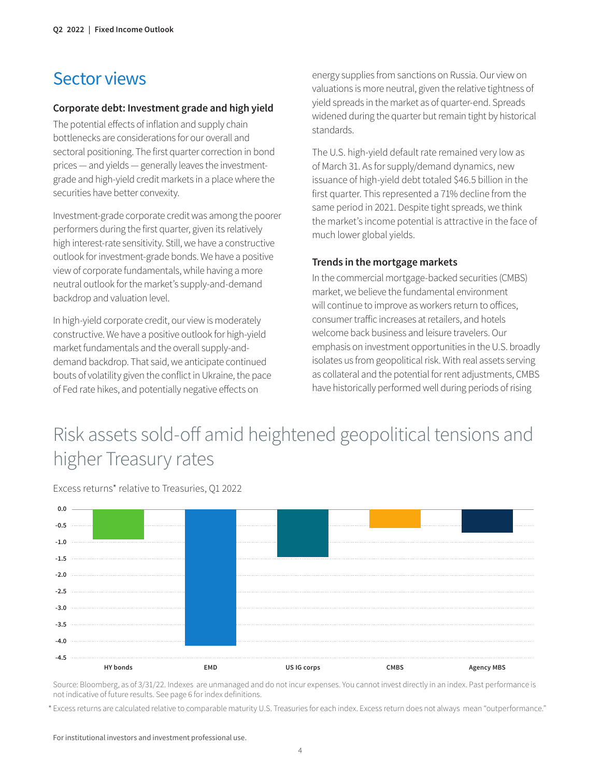### Sector views

#### **Corporate debt: Investment grade and high yield**

The potential effects of inflation and supply chain bottlenecks are considerations for our overall and sectoral positioning. The first quarter correction in bond prices — and yields — generally leaves the investmentgrade and high-yield credit markets in a place where the securities have better convexity.

Investment-grade corporate credit was among the poorer performers during the first quarter, given its relatively high interest-rate sensitivity. Still, we have a constructive outlook for investment-grade bonds. We have a positive view of corporate fundamentals, while having a more neutral outlook for the market's supply-and-demand backdrop and valuation level.

In high-yield corporate credit, our view is moderately constructive. We have a positive outlook for high-yield market fundamentals and the overall supply-anddemand backdrop. That said, we anticipate continued bouts of volatility given the conflict in Ukraine, the pace of Fed rate hikes, and potentially negative effects on

energy supplies from sanctions on Russia. Our view on valuations is more neutral, given the relative tightness of yield spreads in the market as of quarter-end. Spreads widened during the quarter but remain tight by historical standards.

The U.S. high-yield default rate remained very low as of March 31. As for supply/demand dynamics, new issuance of high-yield debt totaled \$46.5 billion in the first quarter. This represented a 71% decline from the same period in 2021. Despite tight spreads, we think the market's income potential is attractive in the face of much lower global yields.

#### **Trends in the mortgage markets**

In the commercial mortgage-backed securities (CMBS) market, we believe the fundamental environment will continue to improve as workers return to offices, consumer traffic increases at retailers, and hotels welcome back business and leisure travelers. Our emphasis on investment opportunities in the U.S. broadly isolates us from geopolitical risk. With real assets serving as collateral and the potential for rent adjustments, CMBS have historically performed well during periods of rising

# Risk assets sold-off amid heightened geopolitical tensions and higher Treasury rates

Excess returns\* relative to Treasuries, Q1 2022



Source: Bloomberg, as of 3/31/22. Indexes are unmanaged and do not incur expenses. You cannot invest directly in an index. Past performance is not indicative of future results. See page 6 for index definitions.

\* Excess returns are calculated relative to comparable maturity U.S. Treasuries for each index. Excess return does not always mean "outperformance."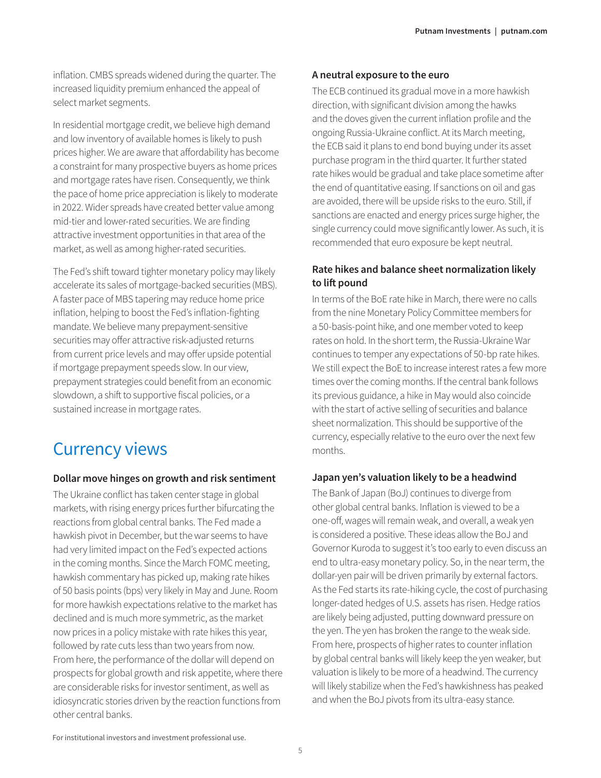inflation. CMBS spreads widened during the quarter. The increased liquidity premium enhanced the appeal of select market segments.

In residential mortgage credit, we believe high demand and low inventory of available homes is likely to push prices higher. We are aware that affordability has become a constraint for many prospective buyers as home prices and mortgage rates have risen. Consequently, we think the pace of home price appreciation is likely to moderate in 2022. Wider spreads have created better value among mid-tier and lower-rated securities. We are finding attractive investment opportunities in that area of the market, as well as among higher-rated securities.

The Fed's shift toward tighter monetary policy may likely accelerate its sales of mortgage-backed securities (MBS). A faster pace of MBS tapering may reduce home price inflation, helping to boost the Fed's inflation-fighting mandate. We believe many prepayment-sensitive securities may offer attractive risk-adjusted returns from current price levels and may offer upside potential if mortgage prepayment speeds slow. In our view, prepayment strategies could benefit from an economic slowdown, a shift to supportive fiscal policies, or a sustained increase in mortgage rates.

## Currency views

#### **Dollar move hinges on growth and risk sentiment**

The Ukraine conflict has taken center stage in global markets, with rising energy prices further bifurcating the reactions from global central banks. The Fed made a hawkish pivot in December, but the war seems to have had very limited impact on the Fed's expected actions in the coming months. Since the March FOMC meeting, hawkish commentary has picked up, making rate hikes of 50 basis points (bps) very likely in May and June. Room for more hawkish expectations relative to the market has declined and is much more symmetric, as the market now prices in a policy mistake with rate hikes this year, followed by rate cuts less than two years from now. From here, the performance of the dollar will depend on prospects for global growth and risk appetite, where there are considerable risks for investor sentiment, as well as idiosyncratic stories driven by the reaction functions from other central banks.

#### **A neutral exposure to the euro**

The ECB continued its gradual move in a more hawkish direction, with significant division among the hawks and the doves given the current inflation profile and the ongoing Russia-Ukraine conflict. At its March meeting, the ECB said it plans to end bond buying under its asset purchase program in the third quarter. It further stated rate hikes would be gradual and take place sometime after the end of quantitative easing. If sanctions on oil and gas are avoided, there will be upside risks to the euro. Still, if sanctions are enacted and energy prices surge higher, the single currency could move significantly lower. As such, it is recommended that euro exposure be kept neutral.

#### **Rate hikes and balance sheet normalization likely to lift pound**

In terms of the BoE rate hike in March, there were no calls from the nine Monetary Policy Committee members for a 50-basis-point hike, and one member voted to keep rates on hold. In the short term, the Russia-Ukraine War continues to temper any expectations of 50-bp rate hikes. We still expect the BoE to increase interest rates a few more times over the coming months. If the central bank follows its previous guidance, a hike in May would also coincide with the start of active selling of securities and balance sheet normalization. This should be supportive of the currency, especially relative to the euro over the next few months.

#### **Japan yen's valuation likely to be a headwind**

The Bank of Japan (BoJ) continues to diverge from other global central banks. Inflation is viewed to be a one-off, wages will remain weak, and overall, a weak yen is considered a positive. These ideas allow the BoJ and Governor Kuroda to suggest it's too early to even discuss an end to ultra-easy monetary policy. So, in the near term, the dollar-yen pair will be driven primarily by external factors. As the Fed starts its rate-hiking cycle, the cost of purchasing longer-dated hedges of U.S. assets has risen. Hedge ratios are likely being adjusted, putting downward pressure on the yen. The yen has broken the range to the weak side. From here, prospects of higher rates to counter inflation by global central banks will likely keep the yen weaker, but valuation is likely to be more of a headwind. The currency will likely stabilize when the Fed's hawkishness has peaked and when the BoJ pivots from its ultra-easy stance.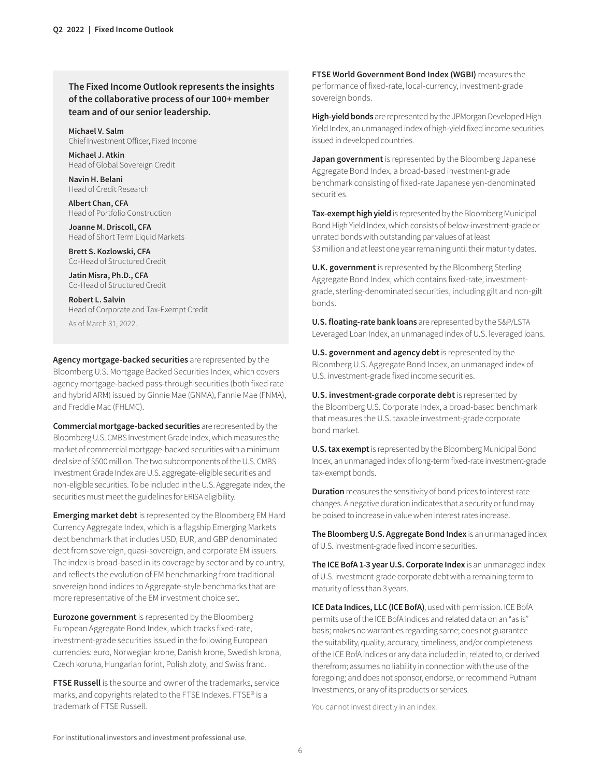**The Fixed Income Outlook represents the insights of the collaborative process of our 100+ member team and of our senior leadership.**

**Michael V. Salm** Chief Investment Officer, Fixed Income

**Michael J. Atkin** Head of Global Sovereign Credit

**Navin H. Belani** Head of Credit Research

**Albert Chan, CFA** Head of Portfolio Construction

**Joanne M. Driscoll, CFA** Head of Short Term Liquid Markets

**Brett S. Kozlowski, CFA** Co-Head of Structured Credit

**Jatin Misra, Ph.D., CFA** Co-Head of Structured Credit

**Robert L. Salvin** Head of Corporate and Tax-Exempt Credit As of March 31, 2022.

**Agency mortgage-backed securities** are represented by the Bloomberg U.S. Mortgage Backed Securities Index, which covers agency mortgage-backed pass-through securities (both fixed rate and hybrid ARM) issued by Ginnie Mae (GNMA), Fannie Mae (FNMA), and Freddie Mac (FHLMC).

**Commercial mortgage-backed securities** are represented by the Bloomberg U.S. CMBS Investment Grade Index, which measures the market of commercial mortgage-backed securities with a minimum deal size of \$500 million. The two subcomponents of the U.S. CMBS Investment Grade Index are U.S. aggregate-eligible securities and non-eligible securities. To be included in the U.S. Aggregate Index, the securities must meet the guidelines for ERISA eligibility.

**Emerging market debt** is represented by the Bloomberg EM Hard Currency Aggregate Index, which is a flagship Emerging Markets debt benchmark that includes USD, EUR, and GBP denominated debt from sovereign, quasi-sovereign, and corporate EM issuers. The index is broad-based in its coverage by sector and by country, and reflects the evolution of EM benchmarking from traditional sovereign bond indices to Aggregate-style benchmarks that are more representative of the EM investment choice set.

**Eurozone government** is represented by the Bloomberg European Aggregate Bond Index, which tracks fixed-rate, investment-grade securities issued in the following European currencies: euro, Norwegian krone, Danish krone, Swedish krona, Czech koruna, Hungarian forint, Polish zloty, and Swiss franc.

**FTSE Russell** is the source and owner of the trademarks, service marks, and copyrights related to the FTSE Indexes. FTSE® is a trademark of FTSE Russell.

**FTSE World Government Bond Index (WGBI)** measures the performance of fixed-rate, local-currency, investment-grade sovereign bonds.

**High-yield bonds** are represented by the JPMorgan Developed High Yield Index, an unmanaged index of high-yield fixed income securities issued in developed countries.

**Japan government** is represented by the Bloomberg Japanese Aggregate Bond Index, a broad-based investment-grade benchmark consisting of fixed-rate Japanese yen-denominated securities.

**Tax-exempt high yield** is represented by the Bloomberg Municipal Bond High Yield Index, which consists of below-investment-grade or unrated bonds with outstanding par values of at least \$3 million and at least one year remaining until their maturity dates.

**U.K. government** is represented by the Bloomberg Sterling Aggregate Bond Index, which contains fixed-rate, investmentgrade, sterling-denominated securities, including gilt and non-gilt bonds.

**U.S. floating-rate bank loans** are represented by the S&P/LSTA Leveraged Loan Index, an unmanaged index of U.S. leveraged loans.

**U.S. government and agency debt** is represented by the Bloomberg U.S. Aggregate Bond Index, an unmanaged index of U.S. investment-grade fixed income securities.

**U.S. investment-grade corporate debt** is represented by the Bloomberg U.S. Corporate Index, a broad-based benchmark that measures the U.S. taxable investment-grade corporate bond market.

**U.S. tax exempt** is represented by the Bloomberg Municipal Bond Index, an unmanaged index of long-term fixed-rate investment-grade tax-exempt bonds.

**Duration** measures the sensitivity of bond prices to interest-rate changes. A negative duration indicates that a security or fund may be poised to increase in value when interest rates increase.

**The Bloomberg U.S. Aggregate Bond Index** is an unmanaged index of U.S. investment-grade fixed income securities.

**The ICE BofA 1-3 year U.S. Corporate Index** is an unmanaged index of U.S. investment-grade corporate debt with a remaining term to maturity of less than 3 years.

**ICE Data Indices, LLC (ICE BofA)**, used with permission. ICE BofA permits use of the ICE BofA indices and related data on an "as is" basis; makes no warranties regarding same; does not guarantee the suitability, quality, accuracy, timeliness, and/or completeness of the ICE BofA indices or any data included in, related to, or derived therefrom; assumes no liability in connection with the use of the foregoing; and does not sponsor, endorse, or recommend Putnam Investments, or any of its products or services.

You cannot invest directly in an index.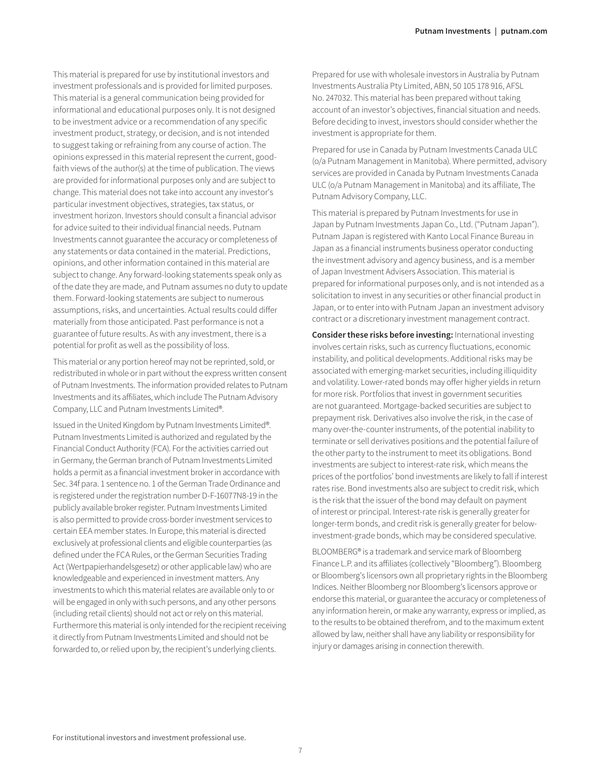This material is prepared for use by institutional investors and investment professionals and is provided for limited purposes. This material is a general communication being provided for informational and educational purposes only. It is not designed to be investment advice or a recommendation of any specific investment product, strategy, or decision, and is not intended to suggest taking or refraining from any course of action. The opinions expressed in this material represent the current, goodfaith views of the author(s) at the time of publication. The views are provided for informational purposes only and are subject to change. This material does not take into account any investor's particular investment objectives, strategies, tax status, or investment horizon. Investors should consult a financial advisor for advice suited to their individual financial needs. Putnam Investments cannot guarantee the accuracy or completeness of any statements or data contained in the material. Predictions, opinions, and other information contained in this material are subject to change. Any forward-looking statements speak only as of the date they are made, and Putnam assumes no duty to update them. Forward-looking statements are subject to numerous assumptions, risks, and uncertainties. Actual results could differ materially from those anticipated. Past performance is not a guarantee of future results. As with any investment, there is a potential for profit as well as the possibility of loss.

This material or any portion hereof may not be reprinted, sold, or redistributed in whole or in part without the express written consent of Putnam Investments. The information provided relates to Putnam Investments and its affiliates, which include The Putnam Advisory Company, LLC and Putnam Investments Limited®.

Issued in the United Kingdom by Putnam Investments Limited®. Putnam Investments Limited is authorized and regulated by the Financial Conduct Authority (FCA). For the activities carried out in Germany, the German branch of Putnam Investments Limited holds a permit as a financial investment broker in accordance with Sec. 34f para. 1 sentence no. 1 of the German Trade Ordinance and is registered under the registration number D-F-16077N8-19 in the publicly available broker register. Putnam Investments Limited is also permitted to provide cross-border investment services to certain EEA member states. In Europe, this material is directed exclusively at professional clients and eligible counterparties (as defined under the FCA Rules, or the German Securities Trading Act (Wertpapierhandelsgesetz) or other applicable law) who are knowledgeable and experienced in investment matters. Any investments to which this material relates are available only to or will be engaged in only with such persons, and any other persons (including retail clients) should not act or rely on this material. Furthermore this material is only intended for the recipient receiving it directly from Putnam Investments Limited and should not be forwarded to, or relied upon by, the recipient's underlying clients.

Prepared for use with wholesale investors in Australia by Putnam Investments Australia Pty Limited, ABN, 50 105 178 916, AFSL No. 247032. This material has been prepared without taking account of an investor's objectives, financial situation and needs. Before deciding to invest, investors should consider whether the investment is appropriate for them.

Prepared for use in Canada by Putnam Investments Canada ULC (o/a Putnam Management in Manitoba). Where permitted, advisory services are provided in Canada by Putnam Investments Canada ULC (o/a Putnam Management in Manitoba) and its affiliate, The Putnam Advisory Company, LLC.

This material is prepared by Putnam Investments for use in Japan by Putnam Investments Japan Co., Ltd. ("Putnam Japan"). Putnam Japan is registered with Kanto Local Finance Bureau in Japan as a financial instruments business operator conducting the investment advisory and agency business, and is a member of Japan Investment Advisers Association. This material is prepared for informational purposes only, and is not intended as a solicitation to invest in any securities or other financial product in Japan, or to enter into with Putnam Japan an investment advisory contract or a discretionary investment management contract.

**Consider these risks before investing:** International investing involves certain risks, such as currency fluctuations, economic instability, and political developments. Additional risks may be associated with emerging-market securities, including illiquidity and volatility. Lower-rated bonds may offer higher yields in return for more risk. Portfolios that invest in government securities are not guaranteed. Mortgage-backed securities are subject to prepayment risk. Derivatives also involve the risk, in the case of many over-the-counter instruments, of the potential inability to terminate or sell derivatives positions and the potential failure of the other party to the instrument to meet its obligations. Bond investments are subject to interest-rate risk, which means the prices of the portfolios' bond investments are likely to fall if interest rates rise. Bond investments also are subject to credit risk, which is the risk that the issuer of the bond may default on payment of interest or principal. Interest-rate risk is generally greater for longer-term bonds, and credit risk is generally greater for belowinvestment-grade bonds, which may be considered speculative.

BLOOMBERG® is a trademark and service mark of Bloomberg Finance L.P. and its affiliates (collectively "Bloomberg"). Bloomberg or Bloomberg's licensors own all proprietary rights in the Bloomberg Indices. Neither Bloomberg nor Bloomberg's licensors approve or endorse this material, or guarantee the accuracy or completeness of any information herein, or make any warranty, express or implied, as to the results to be obtained therefrom, and to the maximum extent allowed by law, neither shall have any liability or responsibility for injury or damages arising in connection therewith.